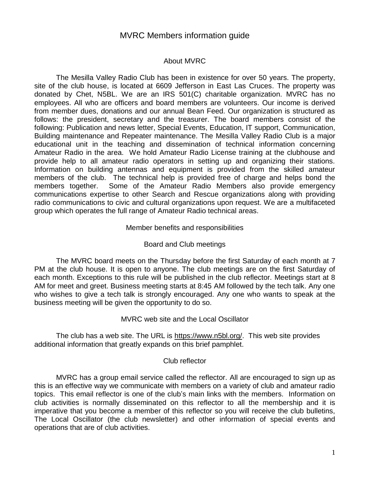# MVRC Members information guide

# About MVRC

The Mesilla Valley Radio Club has been in existence for over 50 years. The property, site of the club house, is located at 6609 Jefferson in East Las Cruces. The property was donated by Chet, N5BL. We are an IRS 501(C) charitable organization. MVRC has no employees. All who are officers and board members are volunteers. Our income is derived from member dues, donations and our annual Bean Feed. Our organization is structured as follows: the president, secretary and the treasurer. The board members consist of the following: Publication and news letter, Special Events, Education, IT support, Communication, Building maintenance and Repeater maintenance. The Mesilla Valley Radio Club is a major educational unit in the teaching and dissemination of technical information concerning Amateur Radio in the area. We hold Amateur Radio License training at the clubhouse and provide help to all amateur radio operators in setting up and organizing their stations. Information on building antennas and equipment is provided from the skilled amateur members of the club. The technical help is provided free of charge and helps bond the members together. Some of the Amateur Radio Members also provide emergency communications expertise to other Search and Rescue organizations along with providing radio communications to civic and cultural organizations upon request. We are a multifaceted group which operates the full range of Amateur Radio technical areas.

### Member benefits and responsibilities

# Board and Club meetings

The MVRC board meets on the Thursday before the first Saturday of each month at 7 PM at the club house. It is open to anyone. The club meetings are on the first Saturday of each month. Exceptions to this rule will be published in the club reflector. Meetings start at 8 AM for meet and greet. Business meeting starts at 8:45 AM followed by the tech talk. Any one who wishes to give a tech talk is strongly encouraged. Any one who wants to speak at the business meeting will be given the opportunity to do so.

#### MVRC web site and the Local Oscillator

The club has a web site. The URL is [https://www.n5bl.org/.](https://www.n5bl.org/) This web site provides additional information that greatly expands on this brief pamphlet.

#### Club reflector

MVRC has a group email service called the reflector. All are encouraged to sign up as this is an effective way we communicate with members on a variety of club and amateur radio topics. This email reflector is one of the club's main links with the members. Information on club activities is normally disseminated on this reflector to all the membership and it is imperative that you become a member of this reflector so you will receive the club bulletins, The Local Oscillator (the club newsletter) and other information of special events and operations that are of club activities.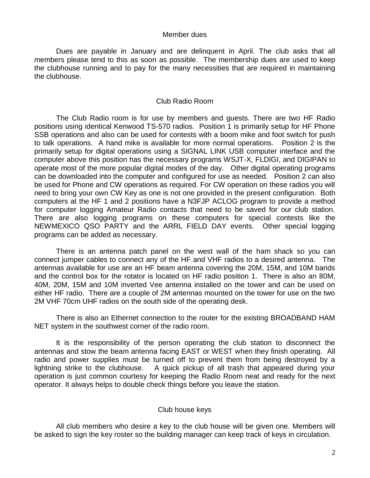#### Member dues

Dues are payable in January and are delinquent in April. The club asks that all members please tend to this as soon as possible. The membership dues are used to keep the clubhouse running and to pay for the many necessities that are required in maintaining the clubhouse.

## Club Radio Room

The Club Radio room is for use by members and guests. There are two HF Radio positions using identical Kenwood TS-570 radios. Position 1 is primarily setup for HF Phone SSB operations and also can be used for contests with a boom mike and foot switch for push to talk operations. A hand mike is available for more normal operations. Position 2 is the primarily setup for digital operations using a SIGNAL LINK USB computer interface and the computer above this position has the necessary programs WSJT-X, FLDIGI, and DIGIPAN to operate most of the more popular digital modes of the day. Other digital operating programs can be downloaded into the computer and configured for use as needed. Position 2 can also be used for Phone and CW operations as required. For CW operation on these radios you will need to bring your own CW Key as one is not one provided in the present configuration. Both computers at the HF 1 and 2 positions have a N3FJP ACLOG program to provide a method for computer logging Amateur Radio contacts that need to be saved for our club station. There are also logging programs on these computers for special contests like the NEWMEXICO QSO PARTY and the ARRL FIELD DAY events. Other special logging programs can be added as necessary.

There is an antenna patch panel on the west wall of the ham shack so you can connect jumper cables to connect any of the HF and VHF radios to a desired antenna. The antennas available for use are an HF beam antenna covering the 20M, 15M, and 10M bands and the control box for the rotator is located on HF radio position 1. There is also an 80M, 40M, 20M, 15M and 10M inverted Vee antenna installed on the tower and can be used on either HF radio. There are a couple of 2M antennas mounted on the tower for use on the two 2M VHF 70cm UHF radios on the south side of the operating desk.

There is also an Ethernet connection to the router for the existing BROADBAND HAM NET system in the southwest corner of the radio room.

It is the responsibility of the person operating the club station to disconnect the antennas and stow the beam antenna facing EAST or WEST when they finish operating. All radio and power supplies must be turned off to prevent them from being destroyed by a lightning strike to the clubhouse. A quick pickup of all trash that appeared during your operation is just common courtesy for keeping the Radio Room neat and ready for the next operator. It always helps to double check things before you leave the station.

# Club house keys

All club members who desire a key to the club house will be given one. Members will be asked to sign the key roster so the building manager can keep track of keys in circulation.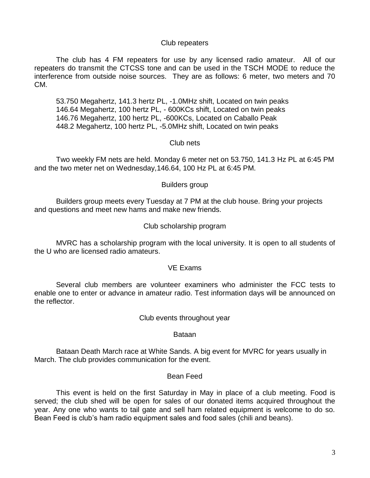#### Club repeaters

The club has 4 FM repeaters for use by any licensed radio amateur. All of our repeaters do transmit the CTCSS tone and can be used in the TSCH MODE to reduce the interference from outside noise sources. They are as follows: 6 meter, two meters and 70 CM.

53.750 Megahertz, 141.3 hertz PL, -1.0MHz shift, Located on twin peaks 146.64 Megahertz, 100 hertz PL, - 600KCs shift, Located on twin peaks 146.76 Megahertz, 100 hertz PL, -600KCs, Located on Caballo Peak 448.2 Megahertz, 100 hertz PL, -5.0MHz shift, Located on twin peaks

### Club nets

Two weekly FM nets are held. Monday 6 meter net on 53.750, 141.3 Hz PL at 6:45 PM and the two meter net on Wednesday,146.64, 100 Hz PL at 6:45 PM.

# Builders group

Builders group meets every Tuesday at 7 PM at the club house. Bring your projects and questions and meet new hams and make new friends.

# Club scholarship program

MVRC has a scholarship program with the local university. It is open to all students of the U who are licensed radio amateurs.

#### VE Exams

Several club members are volunteer examiners who administer the FCC tests to enable one to enter or advance in amateur radio. Test information days will be announced on the reflector.

Club events throughout year

Bataan

Bataan Death March race at White Sands. A big event for MVRC for years usually in March. The club provides communication for the event.

### Bean Feed

This event is held on the first Saturday in May in place of a club meeting. Food is served; the club shed will be open for sales of our donated items acquired throughout the year. Any one who wants to tail gate and sell ham related equipment is welcome to do so. Bean Feed is club's ham radio equipment sales and food sales (chili and beans).